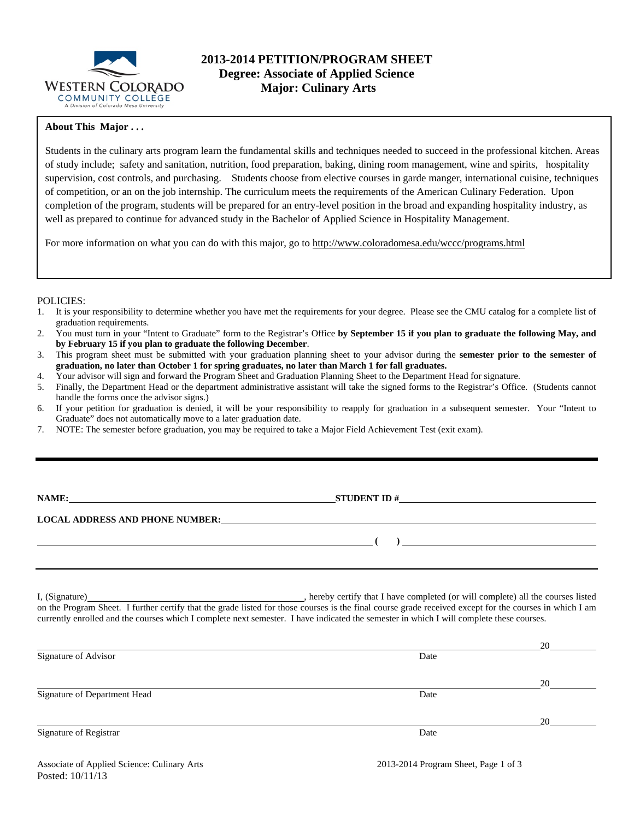

## **2013-2014 PETITION/PROGRAM SHEET Degree: Associate of Applied Science Major: Culinary Arts**

### **About This Major . . .**

Students in the culinary arts program learn the fundamental skills and techniques needed to succeed in the professional kitchen. Areas of study include; safety and sanitation, nutrition, food preparation, baking, dining room management, wine and spirits, hospitality supervision, cost controls, and purchasing. Students choose from elective courses in garde manger, international cuisine, techniques of competition, or an on the job internship. The curriculum meets the requirements of the American Culinary Federation. Upon completion of the program, students will be prepared for an entry-level position in the broad and expanding hospitality industry, as well as prepared to continue for advanced study in the Bachelor of Applied Science in Hospitality Management.

For more information on what you can do with this major, go to http://www.coloradomesa.edu/wccc/programs.html

#### POLICIES:

- 1. It is your responsibility to determine whether you have met the requirements for your degree. Please see the CMU catalog for a complete list of graduation requirements.
- 2. You must turn in your "Intent to Graduate" form to the Registrar's Office **by September 15 if you plan to graduate the following May, and by February 15 if you plan to graduate the following December**.
- 3. This program sheet must be submitted with your graduation planning sheet to your advisor during the **semester prior to the semester of graduation, no later than October 1 for spring graduates, no later than March 1 for fall graduates.**
- 4. Your advisor will sign and forward the Program Sheet and Graduation Planning Sheet to the Department Head for signature.
- 5. Finally, the Department Head or the department administrative assistant will take the signed forms to the Registrar's Office. (Students cannot handle the forms once the advisor signs.)
- 6. If your petition for graduation is denied, it will be your responsibility to reapply for graduation in a subsequent semester. Your "Intent to Graduate" does not automatically move to a later graduation date.
- 7. NOTE: The semester before graduation, you may be required to take a Major Field Achievement Test (exit exam).

| WI<br>NА<br>۲۱, |  |
|-----------------|--|
|-----------------|--|

**STUDENT ID #** 

 **( )** 

**LOCAL ADDRESS AND PHONE NUMBER:**

I, (Signature) **Solution** , hereby certify that I have completed (or will complete) all the courses listed on the Program Sheet. I further certify that the grade listed for those courses is the final course grade received except for the courses in which I am currently enrolled and the courses which I complete next semester. I have indicated the semester in which I will complete these courses.

|                              |      | 20 |
|------------------------------|------|----|
| Signature of Advisor         | Date |    |
|                              |      | 20 |
| Signature of Department Head | Date |    |
|                              |      | 20 |
| Signature of Registrar       | Date |    |
|                              |      |    |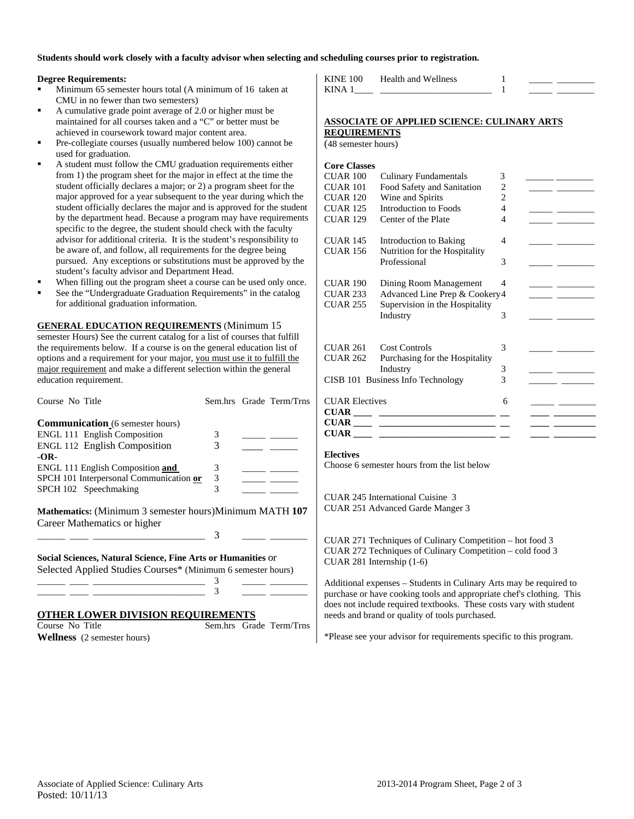**Students should work closely with a faculty advisor when selecting and scheduling courses prior to registration.** 

#### **Degree Requirements:**

- Minimum 65 semester hours total (A minimum of 16 taken at CMU in no fewer than two semesters)
- A cumulative grade point average of 2.0 or higher must be maintained for all courses taken and a "C" or better must be achieved in coursework toward major content area.
- Pre-collegiate courses (usually numbered below 100) cannot be used for graduation.
- A student must follow the CMU graduation requirements either from 1) the program sheet for the major in effect at the time the student officially declares a major; or 2) a program sheet for the major approved for a year subsequent to the year during which the student officially declares the major and is approved for the student by the department head. Because a program may have requirements specific to the degree, the student should check with the faculty advisor for additional criteria. It is the student's responsibility to be aware of, and follow, all requirements for the degree being pursued. Any exceptions or substitutions must be approved by the student's faculty advisor and Department Head.
- When filling out the program sheet a course can be used only once.
- See the "Undergraduate Graduation Requirements" in the catalog for additional graduation information.

**GENERAL EDUCATION REQUIREMENTS** (Minimum 15 semester Hours) See the current catalog for a list of courses that fulfill the requirements below. If a course is on the general education list of options and a requirement for your major, you must use it to fulfill the major requirement and make a different selection within the general education requirement.

| Course No Title                                                                                                              |   | Sem.hrs Grade Term/Trns |
|------------------------------------------------------------------------------------------------------------------------------|---|-------------------------|
| <b>Communication</b> (6 semester hours)                                                                                      |   |                         |
| ENGL 111 English Composition                                                                                                 | 3 |                         |
| <b>ENGL 112 English Composition</b>                                                                                          | 3 |                         |
| $-OR-$                                                                                                                       |   |                         |
| <b>ENGL 111 English Composition and</b>                                                                                      | 3 |                         |
| SPCH 101 Interpersonal Communication or                                                                                      | 3 |                         |
| SPCH 102 Speechmaking                                                                                                        | 3 |                         |
| <b>Mathematics:</b> (Minimum 3 semester hours)Minimum MATH 107<br>Career Mathematics or higher                               |   |                         |
|                                                                                                                              | 3 |                         |
| Social Sciences, Natural Science, Fine Arts or Humanities or<br>Selected Applied Studies Courses* (Minimum 6 semester hours) |   |                         |
|                                                                                                                              | 3 |                         |
|                                                                                                                              | 3 |                         |
|                                                                                                                              |   |                         |

### **OTHER LOWER DIVISION REQUIREMENTS**

Course No Title Sem.hrs Grade Term/Trns **Wellness** (2 semester hours)

KINE 100 Health and Wellness 1 KINA  $1$   $1$ 

#### **ASSOCIATE OF APPLIED SCIENCE: CULINARY ARTS REQUIREMENTS**

(48 semester hours)

| <b>Core Classes</b>               |                                                                   |                |                                                                                                                                                                                                                                      |
|-----------------------------------|-------------------------------------------------------------------|----------------|--------------------------------------------------------------------------------------------------------------------------------------------------------------------------------------------------------------------------------------|
| $CUAR$ 100                        | <b>Culinary Fundamentals</b>                                      | 3              |                                                                                                                                                                                                                                      |
| <b>CUAR 101</b>                   | Food Safety and Sanitation                                        | $\overline{2}$ |                                                                                                                                                                                                                                      |
| <b>CUAR 120</b>                   | Wine and Spirits                                                  | $\overline{2}$ |                                                                                                                                                                                                                                      |
| <b>CUAR 125</b>                   | Introduction to Foods                                             | 4              | <u> The Common School and The Common School and The Common School and The Common School and</u>                                                                                                                                      |
| <b>CUAR 129</b>                   | Center of the Plate                                               | 4              |                                                                                                                                                                                                                                      |
| <b>CUAR 145</b>                   | Introduction to Baking                                            | 4              |                                                                                                                                                                                                                                      |
| <b>CUAR 156</b>                   | Nutrition for the Hospitality                                     |                |                                                                                                                                                                                                                                      |
|                                   | Professional                                                      | 3              |                                                                                                                                                                                                                                      |
| CUAR 190                          | Dining Room Management                                            | 4              | <u>and the community of the community of the community of the community of the community of the community of the community of the community of the community of the community of the community of the community of the community</u> |
| <b>CUAR 233</b>                   | Advanced Line Prep & Cookery4                                     |                | <b>Contract Contract Contract</b>                                                                                                                                                                                                    |
| <b>CUAR 255</b>                   | Supervision in the Hospitality                                    |                |                                                                                                                                                                                                                                      |
|                                   | Industry                                                          | 3              |                                                                                                                                                                                                                                      |
| CUAR 261                          | <b>Cost Controls</b>                                              | 3              |                                                                                                                                                                                                                                      |
| CUAR 262                          | Purchasing for the Hospitality                                    |                |                                                                                                                                                                                                                                      |
|                                   | Industry                                                          | 3              |                                                                                                                                                                                                                                      |
| CISB 101 Business Info Technology |                                                                   | 3              | the company of the company of the company                                                                                                                                                                                            |
| <b>CUAR Electives</b>             |                                                                   | 6              |                                                                                                                                                                                                                                      |
|                                   | $\textbf{CUAR} \_\_\_\_\_\_ \_\_\_\_ \_\_ \_\_ \_\_ \_\_ \_\_ \_$ |                |                                                                                                                                                                                                                                      |
|                                   | $\text{CUAR} \_\_\_\_\_\_$                                        |                |                                                                                                                                                                                                                                      |
|                                   |                                                                   |                |                                                                                                                                                                                                                                      |
|                                   |                                                                   |                |                                                                                                                                                                                                                                      |

#### **Electives**

Choose 6 semester hours from the list below

CUAR 245 International Cuisine 3 CUAR 251 Advanced Garde Manger 3

CUAR 271 Techniques of Culinary Competition – hot food 3 CUAR 272 Techniques of Culinary Competition – cold food 3 CUAR 281 Internship (1-6)

Additional expenses – Students in Culinary Arts may be required to purchase or have cooking tools and appropriate chef's clothing. This does not include required textbooks. These costs vary with student needs and brand or quality of tools purchased.

\*Please see your advisor for requirements specific to this program.